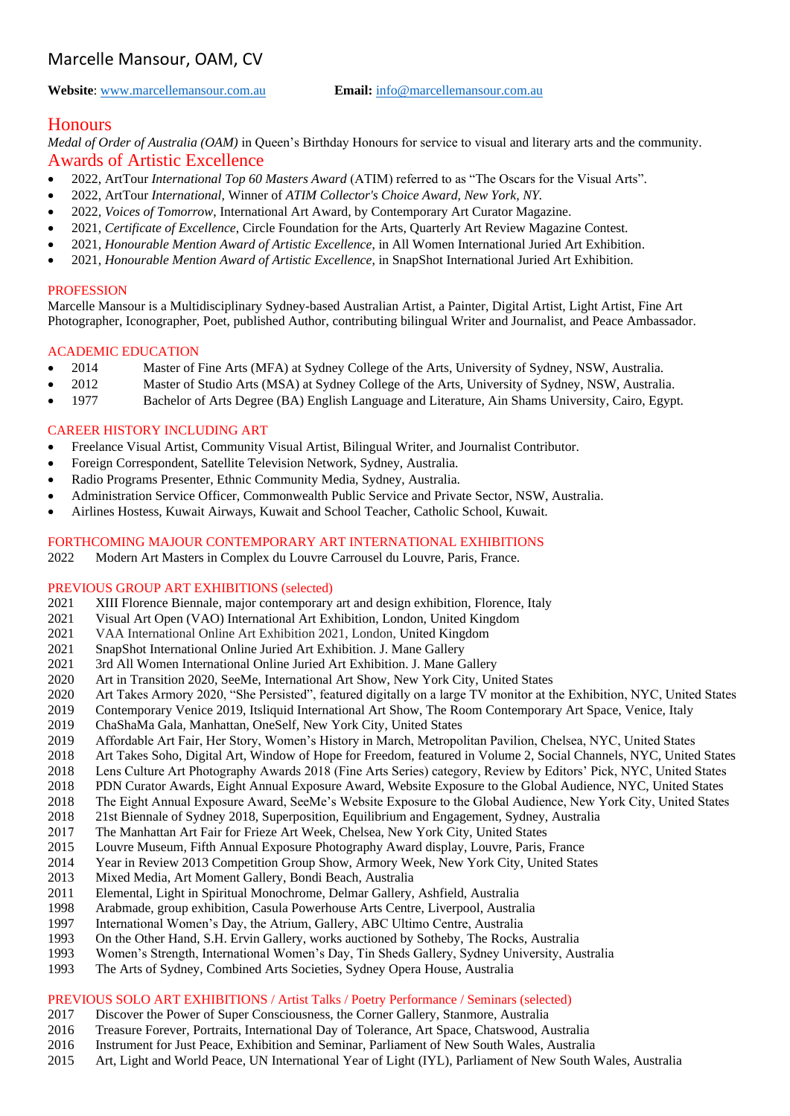# Marcelle Mansour, OAM, CV

**Website**[: www.marcellemansour.com.au](http://www.marcellemansour.com.au/) **Email:** [info@marcellemansour.com.au](mailto:info@marcellemansour.com.au)

## **Honours**

*Medal of Order of Australia (OAM)* in Queen's Birthday Honours for service to visual and literary arts and the community. Awards of Artistic Excellence

- 2022, ArtTour *International Top 60 Masters Award* (ATIM) referred to as "The Oscars for the Visual Arts".
- 2022, ArtTour *International,* Winner of *ATIM Collector's Choice Award, New York, NY.*
- 2022*, Voices of Tomorrow*, International Art Award, by Contemporary Art Curator Magazine.
- 2021*, Certificate of Excellence*, Circle Foundation for the Arts, Quarterly Art Review Magazine Contest.
- 2021*, Honourable Mention Award of Artistic Excellence*, in All Women International Juried Art Exhibition.
- 2021*, Honourable Mention Award of Artistic Excellence*, in SnapShot International Juried Art Exhibition.

#### **PROFESSION**

Marcelle Mansour is a Multidisciplinary Sydney-based Australian Artist, a Painter, Digital Artist, Light Artist, Fine Art Photographer, Iconographer, Poet, published Author, contributing bilingual Writer and Journalist, and Peace Ambassador.

#### ACADEMIC EDUCATION

- 2014 Master of Fine Arts (MFA) at Sydney College of the Arts, University of Sydney, NSW, Australia.
- 2012 Master of Studio Arts (MSA) at Sydney College of the Arts, University of Sydney, NSW, Australia.
- 1977 Bachelor of Arts Degree (BA) English Language and Literature, Ain Shams University, Cairo, Egypt.

## CAREER HISTORY INCLUDING ART

- Freelance Visual Artist, Community Visual Artist, Bilingual Writer, and Journalist Contributor.
- Foreign Correspondent, Satellite Television Network, Sydney, Australia.
- Radio Programs Presenter, Ethnic Community Media, Sydney, Australia.
- Administration Service Officer, Commonwealth Public Service and Private Sector, NSW, Australia.
- Airlines Hostess, Kuwait Airways, Kuwait and School Teacher, Catholic School, Kuwait.

#### FORTHCOMING MAJOUR CONTEMPORARY ART INTERNATIONAL EXHIBITIONS

2022 Modern Art Masters in Complex du Louvre Carrousel du Louvre, Paris, France.

#### PREVIOUS GROUP ART EXHIBITIONS (selected)

- 2021 XIII Florence Biennale, major contemporary art and design exhibition, Florence, Italy
- 2021 Visual Art Open (VAO) International Art Exhibition, London, United Kingdom
- 2021 VAA International Online Art Exhibition 2021, London, United Kingdom
- 2021 SnapShot International Online Juried Art Exhibition. J. Mane Gallery
- 2021 3rd All Women International Online Juried Art Exhibition. J. Mane Gallery
- 2020 Art in Transition 2020, SeeMe, International Art Show, New York City, United States
- 2020 Art Takes Armory 2020, "She Persisted", featured digitally on a large TV monitor at the Exhibition, NYC, United States
- 2019 Contemporary Venice 2019, Itsliquid International Art Show, The Room Contemporary Art Space, Venice, Italy
- 2019 ChaShaMa Gala, Manhattan, OneSelf, New York City, United States
- 2019 Affordable Art Fair, Her Story, Women's History in March, Metropolitan Pavilion, Chelsea, NYC, United States
- 2018 Art Takes Soho, Digital Art, Window of Hope for Freedom, featured in Volume 2, Social Channels, NYC, United States
- 2018 Lens Culture Art Photography Awards 2018 (Fine Arts Series) category, Review by Editors' Pick, NYC, United States
- 2018 PDN Curator Awards, Eight Annual Exposure Award, Website Exposure to the Global Audience, NYC, United States
- 2018 The Eight Annual Exposure Award, SeeMe's Website Exposure to the Global Audience, New York City, United States
- 2018 21st Biennale of Sydney 2018, Superposition, Equilibrium and Engagement, Sydney, Australia
- 2017 The Manhattan Art Fair for Frieze Art Week, Chelsea, New York City, United States
- 2015 Louvre Museum, Fifth Annual Exposure Photography Award display, Louvre, Paris, France
- 2014 Year in Review 2013 Competition Group Show, Armory Week, New York City, United States
- 2013 Mixed Media, Art Moment Gallery, Bondi Beach, Australia
- 2011 Elemental, Light in Spiritual Monochrome, Delmar Gallery, Ashfield, Australia
- 1998 Arabmade, group exhibition, Casula Powerhouse Arts Centre, Liverpool, Australia
- 1997 International Women's Day, the Atrium, Gallery, ABC Ultimo Centre, Australia
- 1993 On the Other Hand, S.H. Ervin Gallery, works auctioned by Sotheby, The Rocks, Australia
- 1993 Women's Strength, International Women's Day, Tin Sheds Gallery, Sydney University, Australia
- 1993 The Arts of Sydney, Combined Arts Societies, Sydney Opera House, Australia

## PREVIOUS SOLO ART EXHIBITIONS / Artist Talks / Poetry Performance / Seminars (selected)

- 2017 Discover the Power of Super Consciousness, the Corner Gallery, Stanmore, Australia
- 2016 Treasure Forever, Portraits, International Day of Tolerance, Art Space, Chatswood, Australia
- 2016 Instrument for Just Peace, Exhibition and Seminar, Parliament of New South Wales, Australia
- 2015 Art, Light and World Peace, UN International Year of Light (IYL), Parliament of New South Wales, Australia